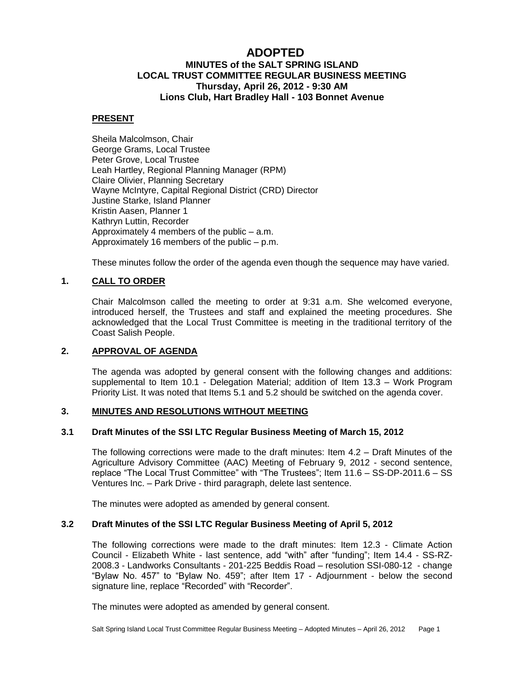# **ADOPTED**

# **MINUTES of the SALT SPRING ISLAND LOCAL TRUST COMMITTEE REGULAR BUSINESS MEETING Thursday, April 26, 2012 - 9:30 AM Lions Club, Hart Bradley Hall - 103 Bonnet Avenue**

### **PRESENT**

Sheila Malcolmson, Chair George Grams, Local Trustee Peter Grove, Local Trustee Leah Hartley, Regional Planning Manager (RPM) Claire Olivier, Planning Secretary Wayne McIntyre, Capital Regional District (CRD) Director Justine Starke, Island Planner Kristin Aasen, Planner 1 Kathryn Luttin, Recorder Approximately 4 members of the public – a.m. Approximately 16 members of the public – p.m.

These minutes follow the order of the agenda even though the sequence may have varied.

# **1. CALL TO ORDER**

Chair Malcolmson called the meeting to order at 9:31 a.m. She welcomed everyone, introduced herself, the Trustees and staff and explained the meeting procedures. She acknowledged that the Local Trust Committee is meeting in the traditional territory of the Coast Salish People.

# **2. APPROVAL OF AGENDA**

The agenda was adopted by general consent with the following changes and additions: supplemental to Item 10.1 - Delegation Material; addition of Item 13.3 – Work Program Priority List. It was noted that Items 5.1 and 5.2 should be switched on the agenda cover.

# **3. MINUTES AND RESOLUTIONS WITHOUT MEETING**

### **3.1 Draft Minutes of the SSI LTC Regular Business Meeting of March 15, 2012**

The following corrections were made to the draft minutes: Item 4.2 – Draft Minutes of the Agriculture Advisory Committee (AAC) Meeting of February 9, 2012 - second sentence, replace "The Local Trust Committee" with "The Trustees"; Item 11.6 – SS-DP-2011.6 – SS Ventures Inc. – Park Drive - third paragraph, delete last sentence.

The minutes were adopted as amended by general consent.

### **3.2 Draft Minutes of the SSI LTC Regular Business Meeting of April 5, 2012**

The following corrections were made to the draft minutes: Item 12.3 - Climate Action Council - Elizabeth White - last sentence, add "with" after "funding"; Item 14.4 - SS-RZ-2008.3 - Landworks Consultants - 201-225 Beddis Road – resolution SSI-080-12 - change "Bylaw No. 457" to "Bylaw No. 459"; after Item 17 - Adjournment - below the second signature line, replace "Recorded" with "Recorder".

The minutes were adopted as amended by general consent.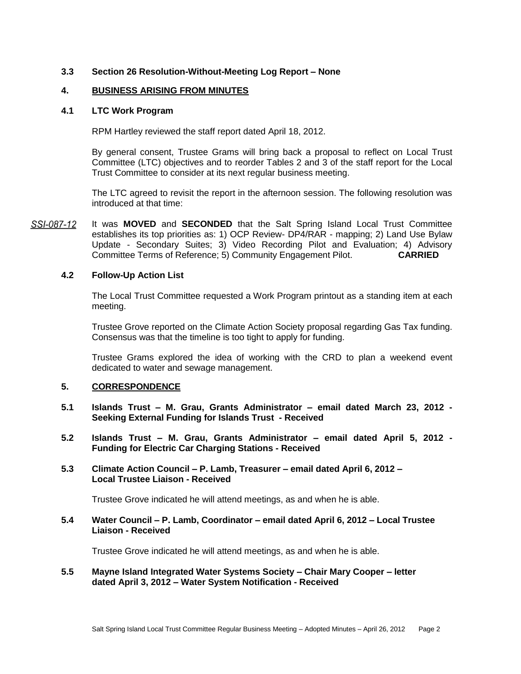# **3.3 Section 26 Resolution-Without-Meeting Log Report – None**

### **4. BUSINESS ARISING FROM MINUTES**

#### **4.1 LTC Work Program**

RPM Hartley reviewed the staff report dated April 18, 2012.

By general consent, Trustee Grams will bring back a proposal to reflect on Local Trust Committee (LTC) objectives and to reorder Tables 2 and 3 of the staff report for the Local Trust Committee to consider at its next regular business meeting.

The LTC agreed to revisit the report in the afternoon session. The following resolution was introduced at that time:

SSI-087-12 It was **MOVED** and **SECONDED** that the Salt Spring Island Local Trust Committee establishes its top priorities as: 1) OCP Review- DP4/RAR - mapping; 2) Land Use Bylaw Update - Secondary Suites; 3) Video Recording Pilot and Evaluation; 4) Advisory Committee Terms of Reference; 5) Community Engagement Pilot. **CARRIED**

### **4.2 Follow-Up Action List**

The Local Trust Committee requested a Work Program printout as a standing item at each meeting.

Trustee Grove reported on the Climate Action Society proposal regarding Gas Tax funding. Consensus was that the timeline is too tight to apply for funding.

Trustee Grams explored the idea of working with the CRD to plan a weekend event dedicated to water and sewage management.

### **5. CORRESPONDENCE**

- **5.1 Islands Trust – M. Grau, Grants Administrator – email dated March 23, 2012 - Seeking External Funding for Islands Trust - Received**
- **5.2 Islands Trust – M. Grau, Grants Administrator – email dated April 5, 2012 - Funding for Electric Car Charging Stations - Received**
- **5.3 Climate Action Council – P. Lamb, Treasurer – email dated April 6, 2012 – Local Trustee Liaison - Received**

Trustee Grove indicated he will attend meetings, as and when he is able.

### **5.4 Water Council – P. Lamb, Coordinator – email dated April 6, 2012 – Local Trustee Liaison - Received**

Trustee Grove indicated he will attend meetings, as and when he is able.

**5.5 Mayne Island Integrated Water Systems Society – Chair Mary Cooper – letter dated April 3, 2012 – Water System Notification - Received**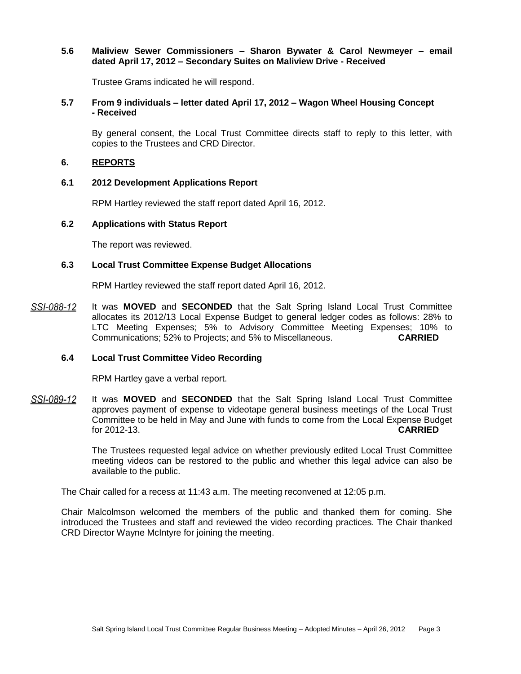### **5.6 Maliview Sewer Commissioners – Sharon Bywater & Carol Newmeyer – email dated April 17, 2012 – Secondary Suites on Maliview Drive - Received**

Trustee Grams indicated he will respond.

### **5.7 From 9 individuals – letter dated April 17, 2012 – Wagon Wheel Housing Concept - Received**

By general consent, the Local Trust Committee directs staff to reply to this letter, with copies to the Trustees and CRD Director.

### **6. REPORTS**

### **6.1 2012 Development Applications Report**

RPM Hartley reviewed the staff report dated April 16, 2012.

### **6.2 Applications with Status Report**

The report was reviewed.

### **6.3 Local Trust Committee Expense Budget Allocations**

RPM Hartley reviewed the staff report dated April 16, 2012.

SSI-088-12 It was **MOVED** and **SECONDED** that the Salt Spring Island Local Trust Committee allocates its 2012/13 Local Expense Budget to general ledger codes as follows: 28% to LTC Meeting Expenses; 5% to Advisory Committee Meeting Expenses; 10% to Communications; 52% to Projects; and 5% to Miscellaneous. **CARRIED**

### **6.4 Local Trust Committee Video Recording**

RPM Hartley gave a verbal report.

SSI-089-12 It was **MOVED** and **SECONDED** that the Salt Spring Island Local Trust Committee approves payment of expense to videotape general business meetings of the Local Trust Committee to be held in May and June with funds to come from the Local Expense Budget for 2012-13. **CARRIED**

> The Trustees requested legal advice on whether previously edited Local Trust Committee meeting videos can be restored to the public and whether this legal advice can also be available to the public.

The Chair called for a recess at 11:43 a.m. The meeting reconvened at 12:05 p.m.

Chair Malcolmson welcomed the members of the public and thanked them for coming. She introduced the Trustees and staff and reviewed the video recording practices. The Chair thanked CRD Director Wayne McIntyre for joining the meeting.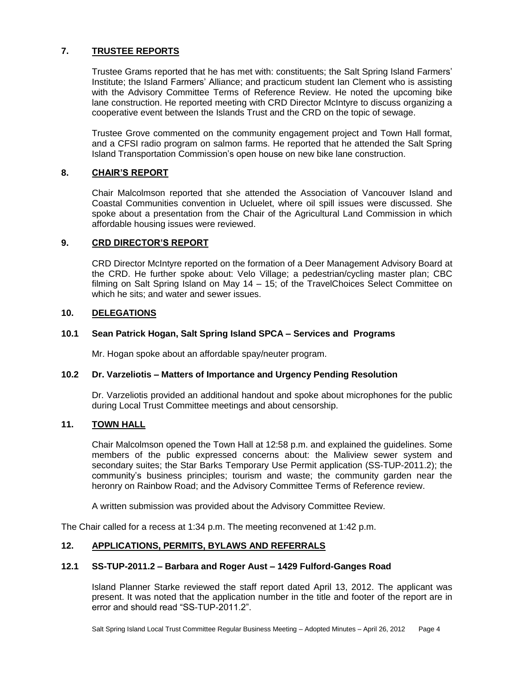# **7. TRUSTEE REPORTS**

Trustee Grams reported that he has met with: constituents; the Salt Spring Island Farmers' Institute; the Island Farmers' Alliance; and practicum student Ian Clement who is assisting with the Advisory Committee Terms of Reference Review. He noted the upcoming bike lane construction. He reported meeting with CRD Director McIntyre to discuss organizing a cooperative event between the Islands Trust and the CRD on the topic of sewage.

Trustee Grove commented on the community engagement project and Town Hall format, and a CFSI radio program on salmon farms. He reported that he attended the Salt Spring Island Transportation Commission's open house on new bike lane construction.

# **8. CHAIR'S REPORT**

Chair Malcolmson reported that she attended the Association of Vancouver Island and Coastal Communities convention in Ucluelet, where oil spill issues were discussed. She spoke about a presentation from the Chair of the Agricultural Land Commission in which affordable housing issues were reviewed.

# **9. CRD DIRECTOR'S REPORT**

CRD Director McIntyre reported on the formation of a Deer Management Advisory Board at the CRD. He further spoke about: Velo Village; a pedestrian/cycling master plan; CBC filming on Salt Spring Island on May 14 – 15; of the TravelChoices Select Committee on which he sits; and water and sewer issues.

# **10. DELEGATIONS**

# **10.1 Sean Patrick Hogan, Salt Spring Island SPCA – Services and Programs**

Mr. Hogan spoke about an affordable spay/neuter program.

# **10.2 Dr. Varzeliotis – Matters of Importance and Urgency Pending Resolution**

Dr. Varzeliotis provided an additional handout and spoke about microphones for the public during Local Trust Committee meetings and about censorship.

### **11. TOWN HALL**

Chair Malcolmson opened the Town Hall at 12:58 p.m. and explained the guidelines. Some members of the public expressed concerns about: the Maliview sewer system and secondary suites; the Star Barks Temporary Use Permit application (SS-TUP-2011.2); the community's business principles; tourism and waste; the community garden near the heronry on Rainbow Road; and the Advisory Committee Terms of Reference review.

A written submission was provided about the Advisory Committee Review.

The Chair called for a recess at 1:34 p.m. The meeting reconvened at 1:42 p.m.

# **12. APPLICATIONS, PERMITS, BYLAWS AND REFERRALS**

# **12.1 SS-TUP-2011.2 – Barbara and Roger Aust – 1429 Fulford-Ganges Road**

Island Planner Starke reviewed the staff report dated April 13, 2012. The applicant was present. It was noted that the application number in the title and footer of the report are in error and should read "SS-TUP-2011.2".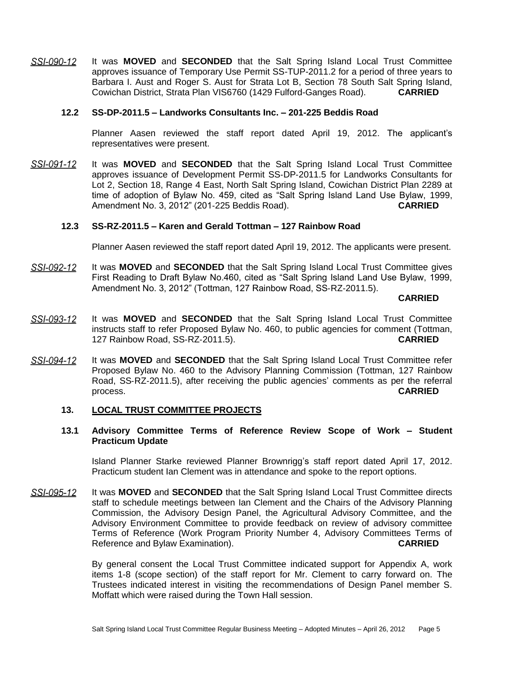SSI-090-12 It was **MOVED** and **SECONDED** that the Salt Spring Island Local Trust Committee approves issuance of Temporary Use Permit SS-TUP-2011.2 for a period of three years to Barbara I. Aust and Roger S. Aust for Strata Lot B, Section 78 South Salt Spring Island, Cowichan District, Strata Plan VIS6760 (1429 Fulford-Ganges Road). **CARRIED**

### **12.2 SS-DP-2011.5 – Landworks Consultants Inc. – 201-225 Beddis Road**

Planner Aasen reviewed the staff report dated April 19, 2012. The applicant's representatives were present.

It was **MOVED** and **SECONDED** that the Salt Spring Island Local Trust Committee SSI-091-12 approves issuance of Development Permit SS‐DP‐2011.5 for Landworks Consultants for Lot 2, Section 18, Range 4 East, North Salt Spring Island, Cowichan District Plan 2289 at time of adoption of Bylaw No. 459, cited as "Salt Spring Island Land Use Bylaw, 1999, Amendment No. 3, 2012" (201‐225 Beddis Road). **CARRIED**

### **12.3 SS-RZ-2011.5 – Karen and Gerald Tottman – 127 Rainbow Road**

Planner Aasen reviewed the staff report dated April 19, 2012. The applicants were present.

SSI-092-12 It was **MOVED** and **SECONDED** that the Salt Spring Island Local Trust Committee gives First Reading to Draft Bylaw No.460, cited as "Salt Spring Island Land Use Bylaw, 1999, Amendment No. 3, 2012" (Tottman, 127 Rainbow Road, SS‐RZ‐2011.5).

**CARRIED**

- SSI-093-12 It was **MOVED** and **SECONDED** that the Salt Spring Island Local Trust Committee instructs staff to refer Proposed Bylaw No. 460, to public agencies for comment (Tottman, 127 Rainbow Road, SS‐RZ‐2011.5). **CARRIED**
- <u>SSI-094-12</u> It was **MOVED** and **SECONDED** that the Salt Spring Island Local Trust Committee refer Proposed Bylaw No. 460 to the Advisory Planning Commission (Tottman, 127 Rainbow Road, SS‐RZ‐2011.5), after receiving the public agencies' comments as per the referral process. **CARRIED**

### **13. LOCAL TRUST COMMITTEE PROJECTS**

# **13.1 Advisory Committee Terms of Reference Review Scope of Work – Student Practicum Update**

Island Planner Starke reviewed Planner Brownrigg's staff report dated April 17, 2012. Practicum student Ian Clement was in attendance and spoke to the report options.

SSI-095-12 It was **MOVED** and **SECONDED** that the Salt Spring Island Local Trust Committee directs staff to schedule meetings between Ian Clement and the Chairs of the Advisory Planning Commission, the Advisory Design Panel, the Agricultural Advisory Committee, and the Advisory Environment Committee to provide feedback on review of advisory committee Terms of Reference (Work Program Priority Number 4, Advisory Committees Terms of Reference and Bylaw Examination). **CARRIED**

> By general consent the Local Trust Committee indicated support for Appendix A, work items 1-8 (scope section) of the staff report for Mr. Clement to carry forward on. The Trustees indicated interest in visiting the recommendations of Design Panel member S. Moffatt which were raised during the Town Hall session.